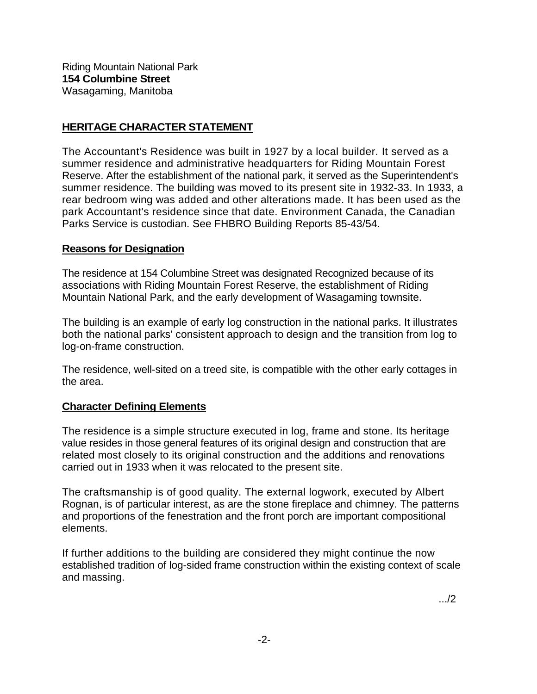Riding Mountain National Park **154 Columbine Street**  Wasagaming, Manitoba

## **HERITAGE CHARACTER STATEMENT**

The Accountant's Residence was built in 1927 by a local builder. It served as a summer residence and administrative headquarters for Riding Mountain Forest Reserve. After the establishment of the national park, it served as the Superintendent's summer residence. The building was moved to its present site in 1932-33. In 1933, a rear bedroom wing was added and other alterations made. It has been used as the park Accountant's residence since that date. Environment Canada, the Canadian Parks Service is custodian. See FHBRO Building Reports 85-43/54.

## **Reasons for Designation**

The residence at 154 Columbine Street was designated Recognized because of its associations with Riding Mountain Forest Reserve, the establishment of Riding Mountain National Park, and the early development of Wasagaming townsite.

The building is an example of early log construction in the national parks. It illustrates both the national parks' consistent approach to design and the transition from log to log-on-frame construction.

The residence, well-sited on a treed site, is compatible with the other early cottages in the area.

## **Character Defining Elements**

The residence is a simple structure executed in log, frame and stone. Its heritage value resides in those general features of its original design and construction that are related most closely to its original construction and the additions and renovations carried out in 1933 when it was relocated to the present site.

The craftsmanship is of good quality. The external logwork, executed by Albert Rognan, is of particular interest, as are the stone fireplace and chimney. The patterns and proportions of the fenestration and the front porch are important compositional elements.

If further additions to the building are considered they might continue the now established tradition of log-sided frame construction within the existing context of scale and massing.

.../2